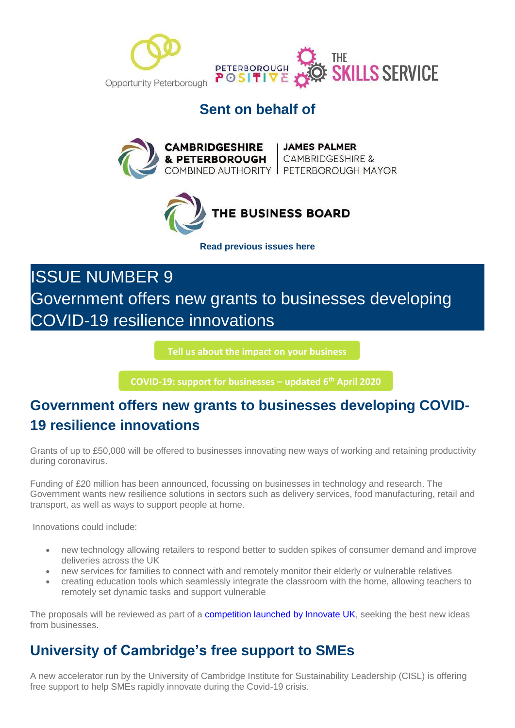

## **Sent on behalf of**





**[Read previous issues here](https://mills.createsend1.com/t/d-l-mttyhtl-l-r/)**

ISSUE NUMBER 9 Government offers new grants to businesses developing COVID-19 resilience innovations

**[Tell us about the impact on your business](https://i7.t.hubspotemail.net/e2t/c/*W5_QYjd8Ct2dXW7L6T4F39rYHN0/*W2VrCrJ79zhK9W33THgY3X7-Bc0/5/f18dQhb0SmhQ9c-kQvW6FcT5P1m4DtzW1DpP_V7x37qHW6Blzll1Qt2G2VLDpF18CSvhfW8BSny05tgcZsW8rB-lZ39vrHZN8CRB3fV9Fr1MZ_MZcRcgcmVQBZgB5wL96LW1sL3M03MybvyW28d46X63xTt7W58jb5-4K75nCW8hvFmF7NMs04W1ZJgG09dSlS6W35rgCl94-4T0W7sLptq41TlcRW3TwTqz19BjMLN1ks0KjSbGG8W3fSWNv7cvxRcVw0r2s4bQW_qW6c44wG4ftZYfW1xZQXF6KYccyW2Nnhhm49wDTzVnR3Kx5399fJW6vkjM991GYyXW92Gqh46pVBb3VtdCBh8-hSx9W7kHDsW4kVRb4W7vmVWN7tplhrW8Z1Tn-2LB2wFW1XX-rs53SyZmW6Dtps71-rs3LW1GcK6w1XcgmtW1RkvPl1vR--LW6xCzbF1H76RcW8XjHx11MjJWrVkmHmF1J7bfRVfglxL7K_fZwN4Zg5Q0fTlLHV1KH6H1KgFpqW7tKwjk83C22TW7s-rRx7Wt1K5W64Qd463N_YjpMRHx7vQJPMrW8p0dzm8v2Fl6W63lxZV77pKj1W2LdjVl5_zHMFW3bpkdc6TBvrzW45QfPl7nxyj9W6WSjYf5YtrXHN1GY8YMVMPVbVVrLq82nLhsjf6J4pCx04)**

**[COVID-19: support for businesses](https://i7.t.hubspotemail.net/e2t/c/*W5_QYjd8Ct2dXW7L6T4F39rYHN0/*W68YdTc6wKd2jW1vHfVB396T7f0/5/f18dQhb0S4017wjzHDV1x4ml5W0JNsMC7lZThZy-FW5J53lw3ldx5hMs_14zzCYCyW3dqJNy6SLzCgW1RWmMr4GRfJpW3s_zl44Pfbv-N8gsgLRb5rWGW1K-zn255_wF_W2bTxL78RvqKQW8mmHd47z9HlJW68zlpN27NYyfW6vXb-q3gJtNNW51-1n17Z3XstW7QrNmR8rkzWJW2Mxbm96GtzZ8VDcbh93KRd4xN5gnrdjg_jR-W2Xd-8j6wgQ14VFBjjv6N6PDmV1TkcZ2m_f1BN48g4HxFywSQW2zRMkB81xRFMVtP1y05mfdkSW2xNj5Q699SPZW7jdbCL6tvXX7W4skB978z0HsHW75wnw82PcnlQN3sPf2dF3v05W8SGh337xGgfnW6rcFHy19NpfdVKBkl93fddBKW4mj-By2sDHYvW7WcFDg74VY9QW2-k38b5HnqrzW41ZhV08YKtb8W3C1nV-2dQSFsW5l1rvS8GXQ6pW8jctn84lWWgtW7w1bXP84-W6cW8Y04Vn6fS-TvN6q_Yfd2GRjgW76XRGB7T0y9XW8Gz4P01YpmbhW4QlJJs2cFp-QW2yxsXs2-sl69W3w1C3G3YQ_nKW4YWW9w498vvzW2VcRcj2SC8KbW2swn723Fv70yVcwYTl3npM5DV1vM235rlPWGW7rJPX970k0C1W9c7nlw66xYKcVVdn6v9m2MdqW666LMz9175vQW8z6hFT362l_5W1LW8Nt6HWqj8103) – updated 6th April 2020**

# **Government offers new grants to businesses developing COVID-19 resilience innovations**

Grants of up to £50,000 will be offered to businesses innovating new ways of working and retaining productivity during coronavirus.

Funding of £20 million has been announced, focussing on businesses in technology and research. The Government wants new resilience solutions in sectors such as delivery services, food manufacturing, retail and transport, as well as ways to support people at home.

Innovations could include:

- new technology allowing retailers to respond better to sudden spikes of consumer demand and improve deliveries across the UK
- new services for families to connect with and remotely monitor their elderly or vulnerable relatives
- creating education tools which seamlessly integrate the classroom with the home, allowing teachers to remotely set dynamic tasks and support vulnerable

The proposals will be reviewed as part of a [competition launched by Innovate UK,](https://mills.createsend1.com/t/d-l-mttyhtl-l-t/) seeking the best new ideas from businesses.

## **University of Cambridge's free support to SMEs**

A new accelerator run by the University of Cambridge Institute for Sustainability Leadership (CISL) is offering free support to help SMEs rapidly innovate during the Covid-19 crisis.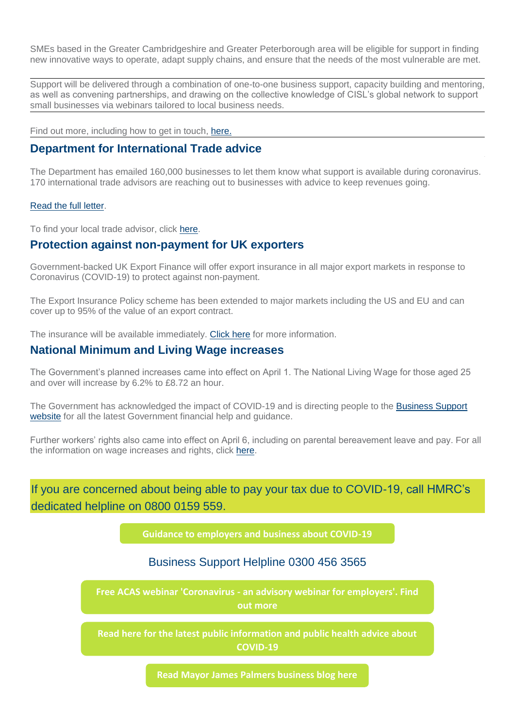SMEs based in the Greater Cambridgeshire and Greater Peterborough area will be eligible for support in finding new innovative ways to operate, adapt supply chains, and ensure that the needs of the most vulnerable are met.

Support will be delivered through a combination of one-to-one business support, capacity building and mentoring, as well as convening partnerships, and drawing on the collective knowledge of CISL's global network to support small businesses via webinars tailored to local business needs.

Find out more, including how to get in touch, [here.](https://mills.createsend1.com/t/d-l-mttyhtl-l-i/)

### **Department for International Trade advice**

The Department has emailed 160,000 businesses to let them know what support is available during coronavirus. 170 international trade advisors are reaching out to businesses with advice to keep revenues going.

#### [Read the full letter.](https://mills.createsend1.com/t/d-l-mttyhtl-l-d/)

To find your local trade advisor, click [here.](https://mills.createsend1.com/t/d-l-mttyhtl-l-h/)

## **Protection against non-payment for UK exporters**

Government-backed UK Export Finance will offer export insurance in all major export markets in response to Coronavirus (COVID-19) to protect against non-payment.

The Export Insurance Policy scheme has been extended to major markets including the US and EU and can cover up to 95% of the value of an export contract.

The insurance will be available immediately. [Click here](https://mills.createsend1.com/t/d-l-mttyhtl-l-k/) for more information.

### **National Minimum and Living Wage increases**

The Government's planned increases came into effect on April 1. The National Living Wage for those aged 25 and over will increase by 6.2% to £8.72 an hour.

The Government has acknowledged the impact of COVID-19 and is directing people to the [Business Support](https://mills.createsend1.com/t/d-l-mttyhtl-l-u/)  [website](https://mills.createsend1.com/t/d-l-mttyhtl-l-u/) for all the latest Government financial help and guidance.

Further workers' rights also came into effect on April 6, including on parental bereavement leave and pay. For all the information on wage increases and rights, click [here.](https://mills.createsend1.com/t/d-l-mttyhtl-l-o/)

If you are concerned about being able to pay your tax due to COVID-19, call HMRC's dedicated helpline on 0800 0159 559.

**[Guidance to employers and business about COVID-19](https://i7.t.hubspotemail.net/e2t/c/*W5_QYjd8Ct2dXW7L6T4F39rYHN0/*W2wZFX92RwXKYW18fZjP1CxtR40/5/f18dQhb0S3-S2p37KMVN2pjW2_XGfVW3GtJgl3d8DZ7W22dcbQ2r1x2ZW3K5X7D6kp2h7VjXVx33H7MzPW5J0ybR5QbCFjVmcQm12nhvZXW8cvCwd6VVtrvW6VVx687rg2cpW657CWG9l__kJW8SdNC57ZyrQZW99HcFS8SpShSN85sFgctyYBdW9cGrZm5txSdXW7Cjy2X52SScyW7MVfD21WmcwNW1S7QF-1B9gQFN77RRbxJ_7sdW3w-WSx2Fm2TsN2mftn5g7884W4BMKn479M1W-W3T0WqK4qP3xCW7LrzV13Q2x27N96cxV6V-kp7W15MpBJ1vNpGVN53zpn64TgbtW3xC1Yr1MnPr2W1Xn0Sr7-Py7vW1ywSG76qHvmDW3rMt2m5LZXvcW6vqTcP410fHlW11BhqB93lXSnW9fyr9-4L4jllW2C6JRc6r9NthW8ZvQq5721y7TW3PLwsC6tR3mxN423pZGMXy-8W8H5dsD5bhJLBW99b4XN7J_STwW4jVGZM3Plj2DW6Q77hB1_HpH2MKR-5jynLt2W8GtHt022LtfpW6stX9L7rG6g5VWMDrX3M_HxKN6clCfBrynGQN1plPbZvJ0syW964WF22kBbLTW1SWQHj5SZ7gyN1zf5TF96yP0W7QCYXS6LsnyqW8pCR196pP1_SW6d48hm4pJw5rW8sV-635tXQfJN17Gb_9RQCGWN49d1nY6RLQkf20dGcF03)**

### Business Support Helpline 0300 456 3565

**Free ACAS webinar 'Coronavirus - [an advisory webinar for employers'. Find](https://i7.t.hubspotemail.net/e2t/c/*W5_QYjd8Ct2dXW7L6T4F39rYHN0/*W4rR4kj8D5qK0W32hlJ43DVvp90/5/f18dQhb0S8379dsSx4N7_GGfPHyjJqVRJnvl3N1zG-W3hHhcf5Cgxh0VnQ9Qq8--HBkW8ZyBPZ568jySW7KdRzh8ZyWKzW1SPFjJ2MznrNN5nbq6BGXpVfW3-jMhD1Sj2MJW1Gsbnx5KnfVpW8W56w94M5FVPW8hvFmF7NMs04W1ZJgG09dSlS6W35rgCl94-4T0W7sLptq41TlcRW3TwTqC4H-7kWW2kGjZw6qQkLPW9bMlrm94pXZFW3t8wsr2DzCtRW1yBQtD8t2QQ4N6wlf3xrHs76W2vf_q-6KSfqnW72Msk-1v55YxW7ss9pD5g1g0MW5Shk167qbJFZW5gcY9K2kKYdlW5L5g-Q5ydG64W12-sDn2cP-vwW9kt-vq6C-HDJW6ygfh6683slGN7rhPzQJLkncW4brSM08j2GyqW33tJzx4b2cpzW2M3LQ98hdk2BVBrWKx75_cyTN71yxz-45gmWW5hs1HL3_5VyxW2GtGMd3ygvH8W8c3hVG1SfhjNW7tR7B_2RgspQW7tpkhj2MDdRqW2KZnw72zWRQ8W2p3MtR2-sBPtW4DqM1j41XQLWN4tJ7rlVpdDqW8mhVQY7_dJxgW8-jZQ0115Dm-W5yKwqS6WXbPLW3XCKVZ6QGQwKW1Slvpc2pglVTW6vc-Z61VLL99f5ZDtxR04)** 

**[Read here for the latest public information and public health advice about](https://i7.t.hubspotemail.net/e2t/c/*W5_QYjd8Ct2dXW7L6T4F39rYHN0/*V3Bgp84CTmC1W4qJbqf88thKQ0/5/f18dQhb0S40073FkvWN12PfV9Ylhz7W2twpt_3xy671W5ygs5H2p6k0tN8xrZdkZN9Y9W6Wpgp86_ctzfW1Ys88D9ff8h9N8JXznRDJKRtW4Qc53n3w9pmgW8Bd2Tw3rwfQMW8cQcrv4F4y33W7sH_p01TCb6bW5W6p-B3RCKKvW8q-fz63TK6BwW2GmPt820L3K6W7TLrpx3P1n7gN4PtN3H_QkjKW8jgH_c2vJHQLN2mKCcTz7f56V5ryM52FC4NhW5C6w2k5gs689W7sF-jD6K_69HW4ZkgQM77l9tyW2_-myz2L3f7jN7rYDPHM84THN13PsRbsyTXTW30zXRH57X5BWW3bKXxT49KB0NW7CjgBm1LTz4yW2T_f9V2FGqlKW90lggl13yRVSW93-cQM9ckzvFW50mWFG1FQMtyW6KwJLv4sTYjpW1vBC1b7gJgD-W794q2C846pzJW289nzQ937WXlW26W-TY8rHXqKVrhxS54lMT4TW6TbLfn3Z6HBSW4Vbxsr4VfscSW4B43xP6R22bGW53kX1J8GnhCKN1YmJXtfM35DW4s8-wQ3QXXmPW8F6Wj21wX6nvW3NGKZT4lVd3HMndFd_8cnhKW5YZ0767w-M_mW9dYJ9w6SYmBZW8rz6_X3c7rWMW96f0zl6fmZQGW9k1T0V5S5HRJW8Bd7LN5R4pzGW7_5jKk5qRzfPW85jv5L7gG7Gv0)  COVID-19**

**[Read Mayor James Palmers business blog here](https://i7.t.hubspotemail.net/e2t/c/*W5_QYjd8Ct2dXW7L6T4F39rYHN0/*W7-sDFB1xVXC8W2BrMdM8ZXlW50/5/f18dQhb0S3_-7Bf-DYW12NBkd5VRkwWW5WdPLB30CkrHW3-xQ7M5G_6myW6lXjvN85sxYWV882B08LTz3tW1WjwD23GdxnjW4qDPR34nWl09W2bsgkg8wh372W2v4ZDG4QNnQPW2fyFgG92hbQSW8Mhq8y4qyhhJW81qhP9769gDKV-76z66-czsVW6nl7wM3BVzDrN2QGKRC31nK8VCBtVT8mW_y1VCwpFT8P8XdXW2-0Rs261_R-tW2m73Fm79vs6HW70_9Mv4MV1GrW5KnlY41Fc5KyW8Fqm865kSpGBW2Pf67C58pgkvW5DkDJb4yjQ70W6Fh8Km3x9cpjW19gzlF74r0LtN8NZ8LgsJXrzW5pSfM02R0k-SW69xrhn8VJqDxW5zk4PT92X04_W1r5FCq7gm5yJW1vsJj56Skn7XW7s4yzw4k3MP9W6KWRk86tMXkRW56bDVp6lg72qW4fNBcZ4M9qhqW2NXDwb1jfXlTW8DNKGw7kjHdlW2hhNVX16ptCLW8Jv5qm5pzNyDW6C5Nqg6gzDt3W6y12qt1p6qgbW8flYQ58YZ4tlW8LPnpW1MX4-yW7LP7Nh2slN3tW1tjxt9162dT7W2Kz3-q80d3pWW2lSBYr1txnl_W3m86--86HvF7W6JTKSt5RJwW_W9b_Ccy18sKqTW6JfZ5f6-S5fhW9jB1nm8Z7zrJW3PDQsX6HtGm4W5s-j2V70GdG7102)**